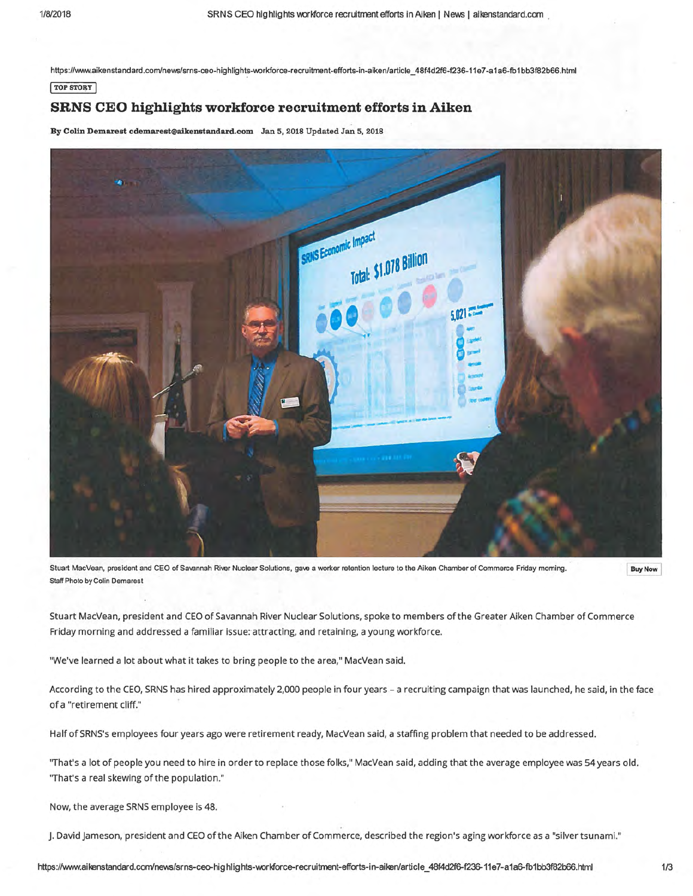https://www.aikenstandard.com/news/srns-ceo-highlights-workforce-recruitment-efforts-in-aiken/article\_48f4d2f6-f236-11e7-a1a6-fb1bb3f82b66.html

## **TOP STORY**

## **SRNS CEO highlights workforce recruitment efforts in Aiken**

By Colin Demarest cdemarest@aikenstandard.com Jan 5, 2018 Updated Jan 5, 2018



Stuart MacVean, president and CEO of Savannah River Nuclear Solutions, gave a worker retention lecture to the Aiken Chamber of Commerce Friday morning. Staff Photo by Colin Demarest

**Buy Now** 

Stuart MacVean, president and CEO of Savannah River Nuclear Solutions, spoke to members of the Greater Aiken Chamber of Commerce Friday morning and addressed a familiar issue: attracting, and retaining, a young workforce.

"We've learned a lot about what it takes to bring people to the area," MacVean said.

According to the CEO, SRNS has hired approximately 2,000 people in four years- a recruiting campaign that was launched, he said, in the face of a "retirement cliff."

Half of SRNS's employees four years ago were retirement ready, MacVean said, a staffing problem that needed to be addressed.

"That's a lot of people you need to hire in order to replace those folks," MacVean said, adding that the average employee was 54 years old. ''That's a real skewing of the population."

Now, the average SRNS employee is 48.

J. David jameson, president and CEO of the Aiken Chamber of Commerce, described the region's aging workforce as a "silver tsunami."